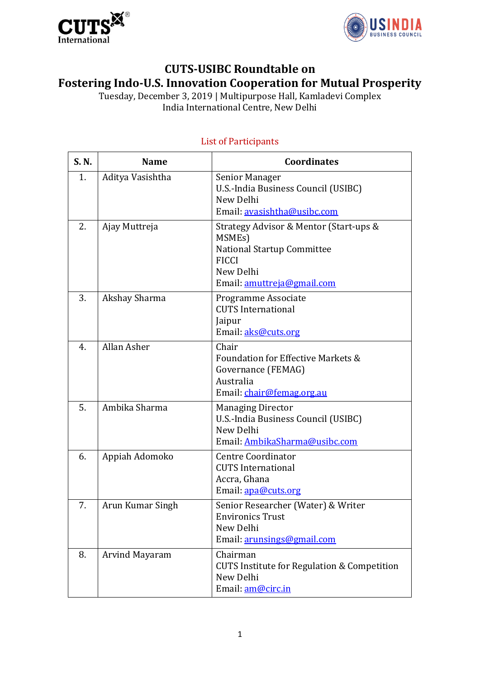



## **CUTS-USIBC Roundtable on Fostering Indo-U.S. Innovation Cooperation for Mutual Prosperity**

Tuesday, December 3, 2019 | Multipurpose Hall, Kamladevi Complex India International Centre, New Delhi

| S. N. | <b>Name</b>      | <b>Coordinates</b>                                                                                                                               |
|-------|------------------|--------------------------------------------------------------------------------------------------------------------------------------------------|
| 1.    | Aditya Vasishtha | Senior Manager<br>U.S.-India Business Council (USIBC)<br>New Delhi<br>Email: avasishtha@usibc.com                                                |
| 2.    | Ajay Muttreja    | Strategy Advisor & Mentor (Start-ups &<br>MSMEs)<br><b>National Startup Committee</b><br><b>FICCI</b><br>New Delhi<br>Email: amuttreja@gmail.com |
| 3.    | Akshay Sharma    | Programme Associate<br><b>CUTS International</b><br>Jaipur<br>Email: aks@cuts.org                                                                |
| 4.    | Allan Asher      | Chair<br>Foundation for Effective Markets &<br>Governance (FEMAG)<br>Australia<br>Email: chair@femag.org.au                                      |
| 5.    | Ambika Sharma    | <b>Managing Director</b><br>U.S.-India Business Council (USIBC)<br>New Delhi<br>Email: AmbikaSharma@usibc.com                                    |
| 6.    | Appiah Adomoko   | <b>Centre Coordinator</b><br><b>CUTS</b> International<br>Accra, Ghana<br>Email: apa@cuts.org                                                    |
| 7.    | Arun Kumar Singh | Senior Researcher (Water) & Writer<br><b>Environics Trust</b><br>New Delhi<br>Email: arunsings@gmail.com                                         |
| 8.    | Arvind Mayaram   | Chairman<br><b>CUTS Institute for Regulation &amp; Competition</b><br>New Delhi<br>Email: am@circ.in                                             |

## List of Participants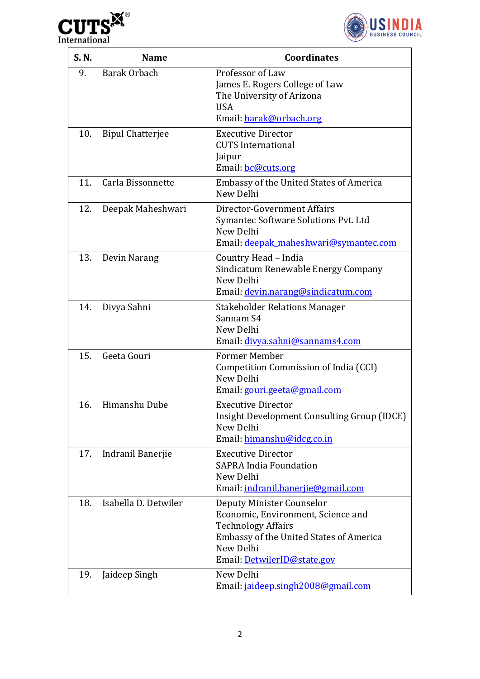



| S. N. | <b>Name</b>             | <b>Coordinates</b>                                                                                                                                                                         |
|-------|-------------------------|--------------------------------------------------------------------------------------------------------------------------------------------------------------------------------------------|
| 9.    | <b>Barak Orbach</b>     | Professor of Law<br>James E. Rogers College of Law<br>The University of Arizona<br><b>USA</b><br>Email: barak@orbach.org                                                                   |
| 10.   | <b>Bipul Chatterjee</b> | <b>Executive Director</b><br><b>CUTS</b> International<br>Jaipur<br>Email: <b>bc@cuts.org</b>                                                                                              |
| 11.   | Carla Bissonnette       | Embassy of the United States of America<br>New Delhi                                                                                                                                       |
| 12.   | Deepak Maheshwari       | Director-Government Affairs<br>Symantec Software Solutions Pvt. Ltd<br>New Delhi<br>Email: deepak maheshwari@symantec.com                                                                  |
| 13.   | Devin Narang            | Country Head - India<br>Sindicatum Renewable Energy Company<br>New Delhi<br>Email: devin.narang@sindicatum.com                                                                             |
| 14.   | Divya Sahni             | <b>Stakeholder Relations Manager</b><br>Sannam S4<br>New Delhi<br>Email: divya.sahni@sannams4.com                                                                                          |
| 15.   | Geeta Gouri             | <b>Former Member</b><br>Competition Commission of India (CCI)<br>New Delhi<br>Email: gouri.geeta@gmail.com                                                                                 |
| 16.   | Himanshu Dube           | Executive Director<br>Insight Development Consulting Group (IDCE)<br>New Delhi<br>Email: himanshu@idcg.co.in                                                                               |
| 17.   | Indranil Banerjie       | <b>Executive Director</b><br><b>SAPRA India Foundation</b><br>New Delhi<br>Email: indranil.banerjie@gmail.com                                                                              |
| 18.   | Isabella D. Detwiler    | Deputy Minister Counselor<br>Economic, Environment, Science and<br><b>Technology Affairs</b><br><b>Embassy of the United States of America</b><br>New Delhi<br>Email: DetwilerID@state.gov |
| 19.   | Jaideep Singh           | New Delhi<br>Email: jaideep.singh2008@gmail.com                                                                                                                                            |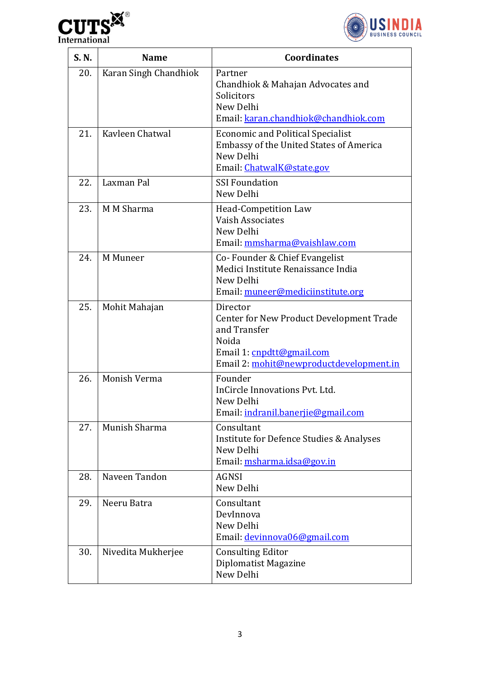



| S. N. | <b>Name</b>           | <b>Coordinates</b>                                                                                                                                           |
|-------|-----------------------|--------------------------------------------------------------------------------------------------------------------------------------------------------------|
| 20.   | Karan Singh Chandhiok | Partner<br>Chandhiok & Mahajan Advocates and<br>Solicitors<br>New Delhi<br>Email: karan.chandhiok@chandhiok.com                                              |
| 21.   | Kavleen Chatwal       | <b>Economic and Political Specialist</b><br><b>Embassy of the United States of America</b><br>New Delhi<br>Email: ChatwalK@state.gov                         |
| 22.   | Laxman Pal            | <b>SSI Foundation</b><br>New Delhi                                                                                                                           |
| 23.   | M M Sharma            | <b>Head-Competition Law</b><br>Vaish Associates<br>New Delhi<br>Email: mmsharma@vaishlaw.com                                                                 |
| 24.   | M Muneer              | Co-Founder & Chief Evangelist<br>Medici Institute Renaissance India<br>New Delhi<br>Email: muneer@mediciinstitute.org                                        |
| 25.   | Mohit Mahajan         | Director<br><b>Center for New Product Development Trade</b><br>and Transfer<br>Noida<br>Email 1: cnpdtt@gmail.com<br>Email 2: mohit@newproductdevelopment.in |
| 26.   | Monish Verma          | Founder<br>InCircle Innovations Pyt. Ltd.<br>New Delhi<br>Email: indranil.banerjie@gmail.com                                                                 |
| 27.   | Munish Sharma         | Consultant<br>Institute for Defence Studies & Analyses<br>New Delhi<br>Email: msharma.idsa@gov.in                                                            |
| 28.   | Naveen Tandon         | <b>AGNSI</b><br>New Delhi                                                                                                                                    |
| 29.   | Neeru Batra           | Consultant<br>DevInnova<br>New Delhi<br>Email: devinnova06@gmail.com                                                                                         |
| 30.   | Nivedita Mukherjee    | <b>Consulting Editor</b><br>Diplomatist Magazine<br>New Delhi                                                                                                |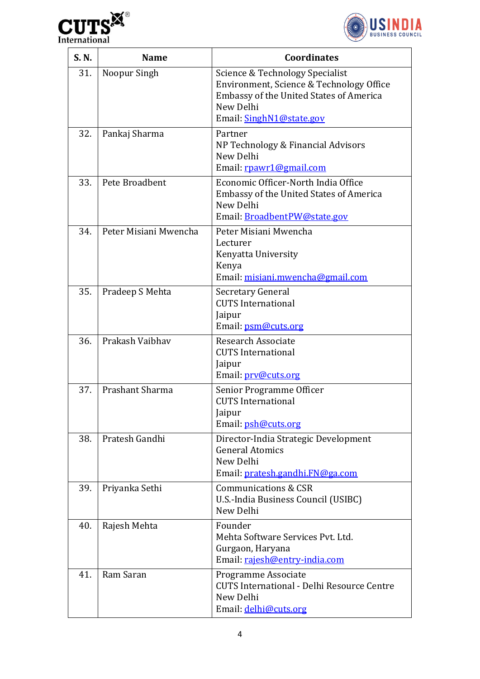



| S. N. | <b>Name</b>           | <b>Coordinates</b>                                                                                                                                                     |
|-------|-----------------------|------------------------------------------------------------------------------------------------------------------------------------------------------------------------|
| 31.   | Noopur Singh          | Science & Technology Specialist<br>Environment, Science & Technology Office<br><b>Embassy of the United States of America</b><br>New Delhi<br>Email: SinghN1@state.gov |
| 32.   | Pankaj Sharma         | Partner<br>NP Technology & Financial Advisors<br>New Delhi<br>Email: rpawr1@gmail.com                                                                                  |
| 33.   | Pete Broadbent        | Economic Officer-North India Office<br><b>Embassy of the United States of America</b><br>New Delhi<br>Email: BroadbentPW@state.gov                                     |
| 34.   | Peter Misiani Mwencha | Peter Misiani Mwencha<br>Lecturer<br>Kenyatta University<br>Kenya<br>Email: misiani.mwencha@gmail.com                                                                  |
| 35.   | Pradeep S Mehta       | Secretary General<br><b>CUTS</b> International<br>Jaipur<br>Email: psm@cuts.org                                                                                        |
| 36.   | Prakash Vaibhav       | <b>Research Associate</b><br><b>CUTS</b> International<br>Jaipur<br>Email: prv@cuts.org                                                                                |
| 37.   | Prashant Sharma       | Senior Programme Officer<br><b>CUTS</b> International<br>Jaipur<br>Email: psh@cuts.org                                                                                 |
| 38.   | Pratesh Gandhi        | Director-India Strategic Development<br><b>General Atomics</b><br>New Delhi<br>Email: pratesh.gandhi.FN@ga.com                                                         |
| 39.   | Priyanka Sethi        | <b>Communications &amp; CSR</b><br>U.S.-India Business Council (USIBC)<br>New Delhi                                                                                    |
| 40.   | Rajesh Mehta          | Founder<br>Mehta Software Services Pvt. Ltd.<br>Gurgaon, Haryana<br>Email: rajesh@entry-india.com                                                                      |
| 41.   | Ram Saran             | Programme Associate<br><b>CUTS International - Delhi Resource Centre</b><br>New Delhi<br>Email: delhi@cuts.org                                                         |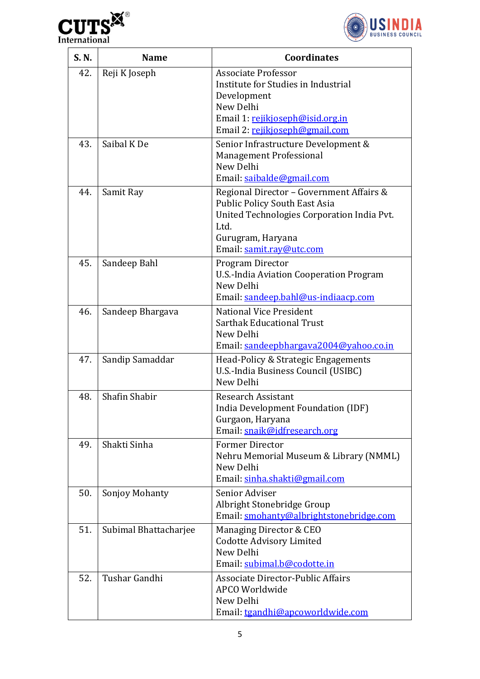



| S. N. | <b>Name</b>           | <b>Coordinates</b>                                                                                                                                                                      |
|-------|-----------------------|-----------------------------------------------------------------------------------------------------------------------------------------------------------------------------------------|
| 42.   | Reji K Joseph         | <b>Associate Professor</b><br>Institute for Studies in Industrial<br>Development<br>New Delhi<br>Email 1: rejikjoseph@isid.org.in<br>Email 2: rejikjoseph@gmail.com                     |
| 43.   | Saibal K De           | Senior Infrastructure Development &<br><b>Management Professional</b><br>New Delhi<br>Email: saibalde@gmail.com                                                                         |
| 44.   | Samit Ray             | Regional Director - Government Affairs &<br><b>Public Policy South East Asia</b><br>United Technologies Corporation India Pvt.<br>Ltd.<br>Gurugram, Haryana<br>Email: samit.ray@utc.com |
| 45.   | Sandeep Bahl          | Program Director<br>U.S.-India Aviation Cooperation Program<br>New Delhi<br>Email: sandeep.bahl@us-indiaacp.com                                                                         |
| 46.   | Sandeep Bhargava      | <b>National Vice President</b><br><b>Sarthak Educational Trust</b><br>New Delhi<br>Email: sandeepbhargava2004@yahoo.co.in                                                               |
| 47.   | Sandip Samaddar       | Head-Policy & Strategic Engagements<br>U.S.-India Business Council (USIBC)<br>New Delhi                                                                                                 |
| 48.   | Shafin Shabir         | <b>Research Assistant</b><br>India Development Foundation (IDF)<br>Gurgaon, Haryana<br>Email: snaik@idfresearch.org                                                                     |
| 49.   | Shakti Sinha          | <b>Former Director</b><br>Nehru Memorial Museum & Library (NMML)<br>New Delhi<br>Email: sinha.shakti@gmail.com                                                                          |
| 50.   | Sonjoy Mohanty        | Senior Adviser<br>Albright Stonebridge Group<br>Email: smohanty@albrightstonebridge.com                                                                                                 |
| 51.   | Subimal Bhattacharjee | Managing Director & CEO<br><b>Codotte Advisory Limited</b><br>New Delhi<br>Email: subimal.b@codotte.in                                                                                  |
| 52.   | Tushar Gandhi         | Associate Director-Public Affairs<br>APCO Worldwide<br>New Delhi<br>Email: tgandhi@apcoworldwide.com                                                                                    |